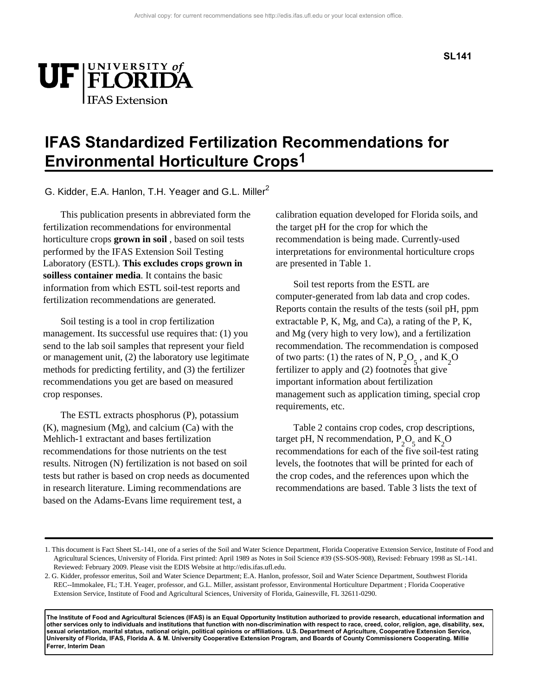

## **IFAS Standardized Fertilization Recommendations for Environmental Horticulture Crops1**

G. Kidder, E.A. Hanlon, T.H. Yeager and G.L. Miller<sup>2</sup>

This publication presents in abbreviated form the fertilization recommendations for environmental horticulture crops **grown in soil** , based on soil tests performed by the IFAS Extension Soil Testing Laboratory (ESTL). **This excludes crops grown in soilless container media**. It contains the basic information from which ESTL soil-test reports and fertilization recommendations are generated.

Soil testing is a tool in crop fertilization management. Its successful use requires that: (1) you send to the lab soil samples that represent your field or management unit, (2) the laboratory use legitimate methods for predicting fertility, and (3) the fertilizer recommendations you get are based on measured crop responses.

The ESTL extracts phosphorus (P), potassium (K), magnesium (Mg), and calcium (Ca) with the Mehlich-1 extractant and bases fertilization recommendations for those nutrients on the test results. Nitrogen (N) fertilization is not based on soil tests but rather is based on crop needs as documented in research literature. Liming recommendations are based on the Adams-Evans lime requirement test, a

calibration equation developed for Florida soils, and the target pH for the crop for which the recommendation is being made. Currently-used interpretations for environmental horticulture crops are presented in Table 1.

Soil test reports from the ESTL are computer-generated from lab data and crop codes. Reports contain the results of the tests (soil pH, ppm extractable P, K, Mg, and Ca), a rating of the P, K, and Mg (very high to very low), and a fertilization recommendation. The recommendation is composed of two parts: (1) the rates of N,  $P_2O_5$ , and  $K_2O$ fertilizer to apply and (2) footnotes that give important information about fertilization management such as application timing, special crop requirements, etc.

Table 2 contains crop codes, crop descriptions, target pH, N recommendation,  $P_2O_5$  and  $K_2O$ recommendations for each of the five soil-test rating levels, the footnotes that will be printed for each of the crop codes, and the references upon which the recommendations are based. Table 3 lists the text of

**The Institute of Food and Agricultural Sciences (IFAS) is an Equal Opportunity Institution authorized to provide research, educational information and other services only to individuals and institutions that function with non-discrimination with respect to race, creed, color, religion, age, disability, sex, sexual orientation, marital status, national origin, political opinions or affiliations. U.S. Department of Agriculture, Cooperative Extension Service, University of Florida, IFAS, Florida A. & M. University Cooperative Extension Program, and Boards of County Commissioners Cooperating. Millie Ferrer, Interim Dean** 

<sup>1.</sup> This document is Fact Sheet SL-141, one of a series of the Soil and Water Science Department, Florida Cooperative Extension Service, Institute of Food and Agricultural Sciences, University of Florida. First printed: April 1989 as Notes in Soil Science #39 (SS-SOS-908), Revised: February 1998 as SL-141. Reviewed: February 2009. Please visit the EDIS Website at http://edis.ifas.ufl.edu.

<sup>2.</sup> G. Kidder, professor emeritus, Soil and Water Science Department; E.A. Hanlon, professor, Soil and Water Science Department, Southwest Florida REC--Immokalee, FL; T.H. Yeager, professor, and G.L. Miller, assistant professor, Environmental Horticulture Department ; Florida Cooperative Extension Service, Institute of Food and Agricultural Sciences, University of Florida, Gainesville, FL 32611-0290.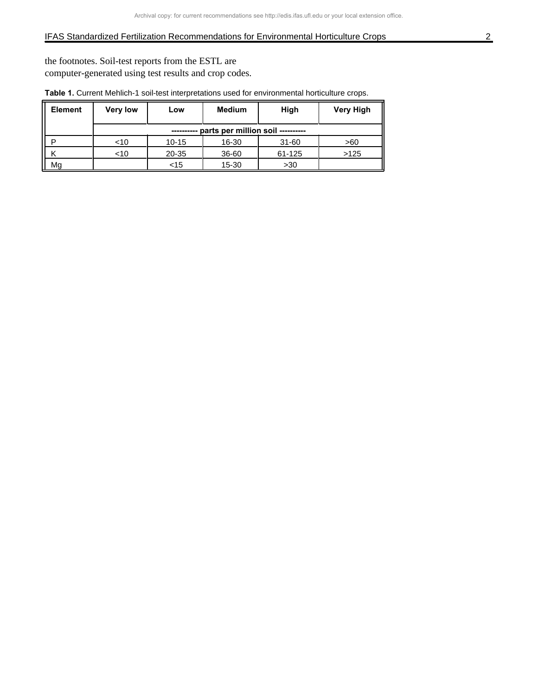## IFAS Standardized Fertilization Recommendations for Environmental Horticulture Crops 2

the footnotes. Soil-test reports from the ESTL are computer-generated using test results and crop codes.

| Element | <b>Very low</b> | Low         | <b>Medium</b>                     | High      | <b>Very High</b> |
|---------|-----------------|-------------|-----------------------------------|-----------|------------------|
|         |                 | ----------- | parts per million soil ---------- |           |                  |
|         | ~10             | $10 - 15$   | 16-30                             | $31 - 60$ | >60              |
|         | <10             | 20-35       | 36-60                             | 61-125    | >125             |
| Mg      |                 | $<$ 15      | $15 - 30$                         | >30       |                  |

**Table 1.** Current Mehlich-1 soil-test interpretations used for environmental horticulture crops.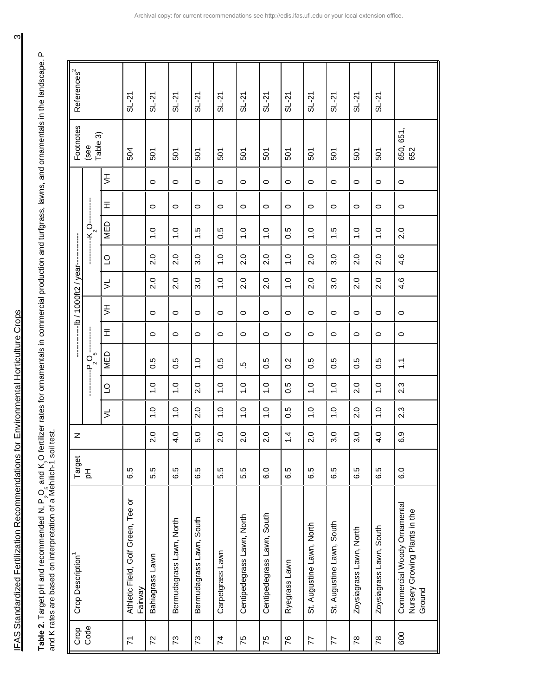IFAS Standardized Fertilization Recommendations for Environmental Horticulture Crops 3 IFAS Standardized Fertilization Recommendations for Environmental Horticulture Crops

**Table 2.** Target pH and recommended N, P O<sub>2\_5</sub> and K O fertilizer rates for ornamentals in commercial production and turfgrass, lawns, and ornamentals in the landscape. P Table 2. Target pH and recommended N, P<sub>,</sub>O<sub>s</sub> and K<sub>,</sub>O fertilizer rates for ornamentals in commercial production and turfgrass, lawns, and ornamentals in the landscape. P<br>and K rates are based on interpretation of a Mehi and K rates are based on interpretation of a Mehilich-1 soil test.

| References <sup>2</sup> |                                                                                                                                                                                                                       |                | $SL-21$                                       | $SL-21$         | $SL-21$                  | $SL-21$                  | $SL-21$           | $SL-21$                    | $SL-21$                    | $SL-21$          | $SL-21$                   | $SL-21$                   | $SL-21$                 | $SL-21$                 |                                                                        |
|-------------------------|-----------------------------------------------------------------------------------------------------------------------------------------------------------------------------------------------------------------------|----------------|-----------------------------------------------|-----------------|--------------------------|--------------------------|-------------------|----------------------------|----------------------------|------------------|---------------------------|---------------------------|-------------------------|-------------------------|------------------------------------------------------------------------|
| Footnotes               | Table 3)<br>(see                                                                                                                                                                                                      |                | 504                                           | 501             | 501                      | 501                      | 501               | 501                        | 501                        | 501              | 501                       | 501                       | 501                     | 501                     | 650, 651,<br>652                                                       |
|                         |                                                                                                                                                                                                                       | $\overline{5}$ |                                               | $\circ$         | $\circ$                  | $\circ$                  | $\circ$           | $\circ$                    | $\circ$                    | $\circ$          | $\circ$                   | $\circ$                   | $\circ$                 | $\circ$                 | $\circ$                                                                |
|                         |                                                                                                                                                                                                                       | Ξ              |                                               | $\circ$         | $\circ$                  | $\circ$                  | $\circ$           | $\circ$                    | $\circ$                    | $\circ$          | $\circ$                   | $\circ$                   | $\circ$                 | $\circ$                 | $\circ$                                                                |
|                         |                                                                                                                                                                                                                       | MED            |                                               | $\frac{0}{1}$   | $\frac{0}{1}$            | 1.5                      | 0.5               | $\frac{0}{1}$              | $\frac{0}{1}$              | 0.5              | $\overline{1}$ .0         | 1.5                       | $\overline{1}$ .0       | 1.0                     | 2.0                                                                    |
|                         |                                                                                                                                                                                                                       | $\supseteq$    |                                               | 2.0             | 2.0                      | 3.0                      | $\overline{1}$ .0 | 2.0                        | 2.0                        | $\frac{0}{1}$    | 2.0                       | 3.0                       | 2.0                     | 2.0                     | 4.6                                                                    |
|                         |                                                                                                                                                                                                                       | $\leq$         |                                               | 2.0             | 2.0                      | 3.0                      | $\frac{0}{1}$     | 2.0                        | 2.0                        | $\frac{0}{1}$    | 2.0                       | 3.0                       | 2.0                     | 2.0                     | 4.6                                                                    |
|                         |                                                                                                                                                                                                                       | $\overline{5}$ |                                               | $\circ$         | $\circ$                  | $\circ$                  | $\circ$           | $\circ$                    | $\circ$                    | $\circ$          | $\circ$                   | $\circ$                   | $\circ$                 | $\circ$                 | $\circ$                                                                |
|                         | $\begin{array}{c} \begin{array}{c} \begin{array}{c} \begin{array}{c} \begin{array}{c} \end{array} \\ \end{array} \\ \begin{array}{c} \end{array} \\ \begin{array}{c} \end{array} \end{array} \end{array} \end{array}$ | 田              |                                               | $\circ$         | $\circ$                  | $\circ$                  | $\circ$           | $\circ$                    | $\circ$                    | $\circ$          | $\circ$                   | $\circ$                   | $\circ$                 | $\circ$                 | $\circ$                                                                |
|                         | $\overline{5}$<br>$-\frac{p}{2}^{\alpha}$                                                                                                                                                                             | <b>MED</b>     |                                               | 0.5             | 0.5                      | $\overline{1}$ .0        | 0.5               | ယ္                         | 0.5                        | $0.\overline{2}$ | 0.5                       | 0.5                       | 0.5                     | 0.5                     | $\sum$                                                                 |
|                         | $\frac{1}{2}$                                                                                                                                                                                                         | $\overline{0}$ |                                               | $\frac{0}{1}$   | $\overline{1}$ .0        | 2.0                      | $\frac{0}{1}$     | $\frac{0}{1}$              | $\overline{1}$ .0          | $0.\overline{5}$ | $\frac{0}{1}$             | $\frac{0}{1}$             | 2.0                     | $\frac{0}{1}$           | $2.\overline{3}$                                                       |
|                         |                                                                                                                                                                                                                       | $\leq$         |                                               | $\frac{0}{1}$   | $\frac{0}{1}$            | 2.0                      | $\frac{0}{1}$     | $\frac{0}{1}$              | $\overline{1}$ .0          | 0.5              | $\overline{1}$ .0         | 0.1                       | 2.0                     | $\overline{1}$ .0       | $2.\overline{3}$                                                       |
| z                       |                                                                                                                                                                                                                       |                |                                               | 2.0             | 4.0                      | 5.0                      | 2.0               | 2.0                        | 2.0                        | 1.4              | 2.0                       | 3.0                       | 3.0                     | 4.0                     | 6.9                                                                    |
| Target                  | 玉                                                                                                                                                                                                                     |                | 6.5                                           | 5.5             | 6.5                      | 6.5                      | 5.5               | 5.5                        | 6.0                        | 6.5              | 6.5                       | 6.5                       | 6.5                     | 6.5                     | 6.0                                                                    |
| Crop Description        |                                                                                                                                                                                                                       |                | Athletic Field, Golf Green, Tee or<br>Fairway | Bahiagrass Lawn | Bermudagrass Lawn, North | Bermudagrass Lawn, South | Carpetgrass Lawn  | Centipedegrass Lawn, North | Centipedegrass Lawn, South | Ryegrass Lawn    | St. Augustine Lawn, North | St. Augustine Lawn, South | Zoysiagrass Lawn, North | Zoysiagrass Lawn, South | Commercial Woody Ornamental<br>Nursery Growing Plants in the<br>Ground |
| Crop                    | Code                                                                                                                                                                                                                  |                | $\overline{r}$                                | 72              | $73\,$                   | 73                       | 74                | 75                         | 75                         | 76               | 77                        | 77                        | $\approx$               | $\approx$               | 600                                                                    |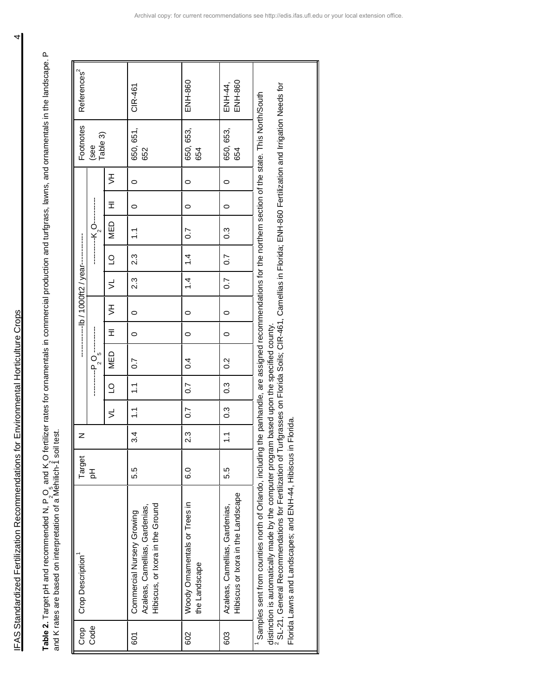IFAS Standardized Fertilization Recommendations for Environmental Horticulture Crops 4 IFAS Standardized Fertilization Recommendations for Environmental Horticulture Crops

**Table 2.** Target pH and recommended N, P  $\Omega$   $_2$   $_5$  and K O fertilizer rates for ornamentals in commercial production and turfgrass, lawns, and ornamentals in the landscape. P Table 2. Target pH and recommended N, P<sub>,</sub>O<sub>,</sub> and K<sub>,</sub>O fertilizer rates for ornamentals in commercial production and turfgrass, lawns, and ornamentals in the landscape. P<br>and K rates are based on interpretation of a Mehi and K rates are based on interpretation of a Mehilich-1 soil test.

| ENH-860<br>ENH-860<br>ENH-44,<br>CIR-461<br>650, 651,<br>650, 653,<br>650, 653,<br>Table 3)<br>654<br>652<br>654<br>子<br><br>$\circ$<br>$\circ$<br>$\circ$<br>Ξ<br>$\circ$<br>0<br>0<br><b>MED</b><br>$\frac{3}{2}$<br>$\overline{0}$ .<br>$\tilde{\Xi}$<br>2.3<br>$\dot{4}$<br>$\overline{0}$ .<br>$\overline{C}$<br>2.3<br>$\dot{4}$<br>$\overline{0}$ .<br>$\leq$<br>子<br><br>$\circ$<br>0<br>0<br>$\frac{1}{2}$<br>Ξ<br>$\circ$<br>$\circ$<br>0<br>$   P_2$ $S_5$<br>NED<br>$\sim 4$<br>$\frac{2}{3}$<br>0.7<br>$\frac{3}{2}$<br>$\overline{C}$<br>$\overline{0.7}$<br>$\tilde{=}$<br>$\frac{3}{2}$<br>$\overline{0}$ .7<br>$\tilde{\cdot}$<br>$\preceq$<br>2.3<br>3.4<br>$\tilde{\cdot}$<br>5.5<br>ە<br>ق<br>5.5<br>Hibiscus or Ixora in the Landscape<br>Woody Ornamentals or Trees in<br>Hibiscus, or Ixora in the Ground<br>Azaleas, Camellias, Gardenias,<br>Azaleas, Camellias, Gardenias,<br>Commercial Nursery Growing<br>the Landscape | <b>Crop Description</b> | Target | Z |  |  |  |  |  | Footnotes | References <sup>2</sup> |
|-----------------------------------------------------------------------------------------------------------------------------------------------------------------------------------------------------------------------------------------------------------------------------------------------------------------------------------------------------------------------------------------------------------------------------------------------------------------------------------------------------------------------------------------------------------------------------------------------------------------------------------------------------------------------------------------------------------------------------------------------------------------------------------------------------------------------------------------------------------------------------------------------------------------------------------------------------|-------------------------|--------|---|--|--|--|--|--|-----------|-------------------------|
|                                                                                                                                                                                                                                                                                                                                                                                                                                                                                                                                                                                                                                                                                                                                                                                                                                                                                                                                                     |                         | 공      |   |  |  |  |  |  | (see      |                         |
|                                                                                                                                                                                                                                                                                                                                                                                                                                                                                                                                                                                                                                                                                                                                                                                                                                                                                                                                                     |                         |        |   |  |  |  |  |  |           |                         |
|                                                                                                                                                                                                                                                                                                                                                                                                                                                                                                                                                                                                                                                                                                                                                                                                                                                                                                                                                     |                         |        |   |  |  |  |  |  |           |                         |
|                                                                                                                                                                                                                                                                                                                                                                                                                                                                                                                                                                                                                                                                                                                                                                                                                                                                                                                                                     |                         |        |   |  |  |  |  |  |           |                         |
|                                                                                                                                                                                                                                                                                                                                                                                                                                                                                                                                                                                                                                                                                                                                                                                                                                                                                                                                                     |                         |        |   |  |  |  |  |  |           |                         |